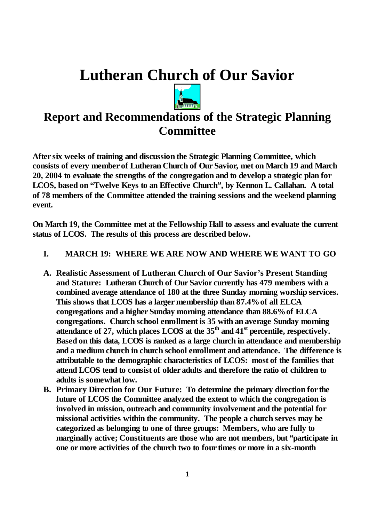# **Lutheran Church of Our Savior**



# **Report and Recommendations of the Strategic Planning Committee**

**After six weeks of training and discussion the Strategic Planning Committee, which consists of every member of Lutheran Church of Our Savior, met on March 19 and March 20, 2004 to evaluate the strengths of the congregation and to develop a strategic plan for LCOS, based on"Twelve Keys to an Effective Church", by Kennon L. Callahan. A total of 78 members of the Committee attended the training sessions and the weekend planning event.**

**On March 19, the Committee met at the Fellowship Hall to assess and evaluate the current status of LCOS. The results of this process are described below.**

#### **I. MARCH 19: WHERE WE ARE NOW AND WHERE WE WANT TO GO**

- **A. Realistic Assessment of Lutheran Church of Our Savior's Present Standing and Stature: Lutheran Church of Our Savior currently has 479 members with a combined average attendance of 180 at the three Sunday morning worship services. This shows that LCOS has a larger membership than 87.4% of all ELCA congregations and a higher Sunday morning attendance than 88.6% of ELCA congregations. Church school enrollment is 35 with an average Sunday morning attendance of 27, which places LCOS at the 35 th and 41 st percentile, respectively. Based on this data, LCOS is ranked as a large church in attendance and membership and a medium church in church school enrollment and attendance. The difference is attributable to the demographic characteristics of LCOS: most of the families that attend LCOS tend to consist of older adults and therefore the ratio of children to adults is somewhat low.**
- **B. Primary Direction for Our Future: To determine the primary direction for the future of LCOS the Committee analyzed the extent to which the congregation is involved in mission, outreach and community involvement and the potential for missional activities within the community. The people a church serves may be categorized as belonging to one of three groups: Members, who are fully to marginally** active; **Constituents** are those who are not members, but participate in **one or more activities of the church two to four times or more in a six-month**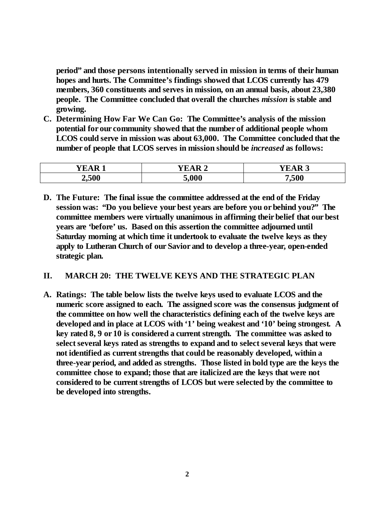**period"and those persons intentionally served in mission in terms of their human hopes and hurts. The Committee's findings showed that LCOS currently has 479 members, 360 constituents and serves in mission, on an annual basis, about 23,380 people. The Committee concluded that overall the churches** *mission* **is stable and growing.**

**C. Determining How Far We Can Go: The Committee's analysis of the mission potential for our community showed that the number of additional people whom LCOS could serve in mission was about 63,000. The Committee concluded that the number of people that LCOS serves in mission should be** *increased* **as follows:**

| --- - | $-1$<br>D <sub>a</sub> | D<br>$\sim$ |
|-------|------------------------|-------------|
| 2,500 | 5,000                  | ,500        |

**D. The Future: The final issue the committee addressed at the end of the Friday session was: "Do you believe your best years are before you or behind you?"The committee members were virtually unanimous in affirming their belief that our best years are'before'us. Based on this assertion the committee adjourned until Saturday morning at which time it undertook to evaluate the twelve keys as they apply to Lutheran Church of our Savior and to develop a three-year, open-ended strategic plan.**

#### **II. MARCH 20: THE TWELVE KEYS AND THE STRATEGIC PLAN**

**A. Ratings: The table below lists the twelve keys used to evaluate LCOS and the numeric score assigned to each. The assigned score was the consensus judgment of the committee on how well the characteristics defining each of the twelve keys are developed and in place at LCOS with'1'being weakest and'10'being strongest. A key rated 8, 9 or 10 is considered a current strength. The committee was asked to select several keys rated as strengths to expand and to select several keys that were not identified as current strengths that could be reasonably developed, within a three-year period, and added as strengths. Those listed in bold type are the keys the committee chose to expand; those that are italicized are the keys that were not considered to be current strengths of LCOS but were selected by the committee to be developed into strengths.**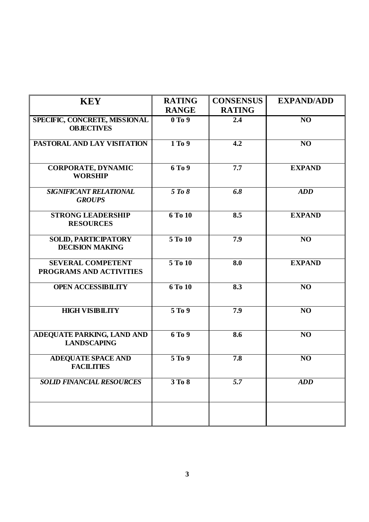| <b>KEY</b>                                          | <b>RATING</b>      | <b>CONSENSUS</b> | <b>EXPAND/ADD</b> |
|-----------------------------------------------------|--------------------|------------------|-------------------|
|                                                     | <b>RANGE</b>       | <b>RATING</b>    |                   |
| SPECIFIC, CONCRETE, MISSIONAL<br><b>OBJECTIVES</b>  | 0T <sub>0</sub> 9  | 2.4              | NO <sub>1</sub>   |
| PASTORAL AND LAY VISITATION                         | 1 To 9             | 4.2              | NO                |
| <b>CORPORATE, DYNAMIC</b><br><b>WORSHIP</b>         | 6 To 9             | 7.7              | <b>EXPAND</b>     |
| SIGNIFICANT RELATIONAL<br><b>GROUPS</b>             | 5 To 8             | $\overline{6.8}$ | <b>ADD</b>        |
| <b>STRONG LEADERSHIP</b><br><b>RESOURCES</b>        | 6T <sub>0</sub> 10 | 8.5              | <b>EXPAND</b>     |
| SOLID, PARTICIPATORY<br><b>DECISION MAKING</b>      | 5 To 10            | 7.9              | NO                |
| <b>SEVERAL COMPETENT</b><br>PROGRAMS AND ACTIVITIES | 5 To 10            | 8.0              | <b>EXPAND</b>     |
| <b>OPEN ACCESSIBILITY</b>                           | 6 To 10            | 8.3              | NO                |
| <b>HIGH VISIBILITY</b>                              | 5 To 9             | 7.9              | NO                |
| ADEQUATE PARKING, LAND AND<br><b>LANDSCAPING</b>    | 6 To 9             | 8.6              | NO                |
| ADEQUATE SPACE AND<br><b>FACILITIES</b>             | 5 To 9             | 7.8              | NO                |
| <b>SOLID FINANCIAL RESOURCES</b>                    | 3 To 8             | 5.7              | <b>ADD</b>        |
|                                                     |                    |                  |                   |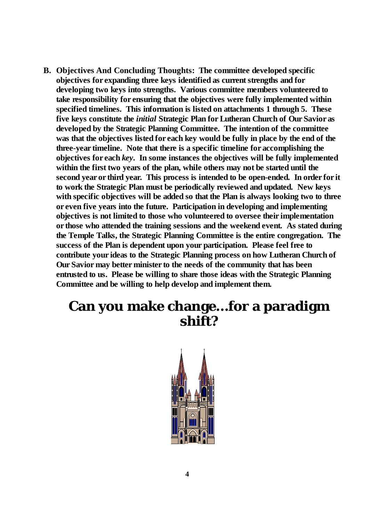**B. Objectives And Concluding Thoughts: The committee developed specific objectives for expanding three keys identified as current strengths and for developing two keys into strengths. Various committee members volunteered to take responsibility for ensuring that the objectives were fully implemented within specified timelines. This information is listed on attachments 1 through 5. These five keys constitute the** *initial* **Strategic Plan for Lutheran Church of Our Savior as developed by the Strategic Planning Committee. The intention of the committee was that the objectives listed for each key would be fully in place by the end of the three-year timeline. Note that there is a specific timeline for accomplishing the objectives for each** *key***. In some instances the objectives will be fully implemented within the first two years of the plan, while others may not be started until the second year or third year. This process is intended to be open-ended. In order for it to work the Strategic Plan must be periodically reviewed and updated. New keys with specific objectives will be added so that the Plan is always looking two to three or even five years into the future. Participation in developing and implementing objectives is not limited to those who volunteered to oversee their implementation or those who attended the training sessions and the weekend event. As stated during the Temple Talks, the Strategic Planning Committee is the entire congregation. The success of the Plan is dependent upon your participation. Please feel free to contribute your ideas to the Strategic Planning process on how Lutheran Church of Our Savior may better minister to the needs of the community that has been entrusted to us. Please be willing to share those ideas with the Strategic Planning Committee and be willing to help develop and implement them.**

# **Can you make change…for a paradigm shift?**

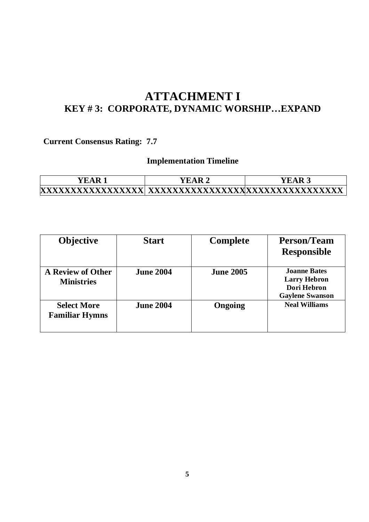### **ATTACHMENT I KEY # 3: CORPORATE, DYNAMIC WORSHIP…EXPAND**

### **Current Consensus Rating: 7.7**

| . R<br>Ŧ.A | TAR 2 |  |
|------------|-------|--|
|            |       |  |

| <b>Objective</b>                              | <b>Start</b>     | <b>Complete</b>  | <b>Person/Team</b><br><b>Responsible</b>                                            |
|-----------------------------------------------|------------------|------------------|-------------------------------------------------------------------------------------|
| <b>A Review of Other</b><br><b>Ministries</b> | <b>June 2004</b> | <b>June 2005</b> | <b>Joanne Bates</b><br><b>Larry Hebron</b><br>Dori Hebron<br><b>Gaylene Swanson</b> |
| <b>Select More</b><br><b>Familiar Hymns</b>   | <b>June 2004</b> | Ongoing          | <b>Neal Williams</b>                                                                |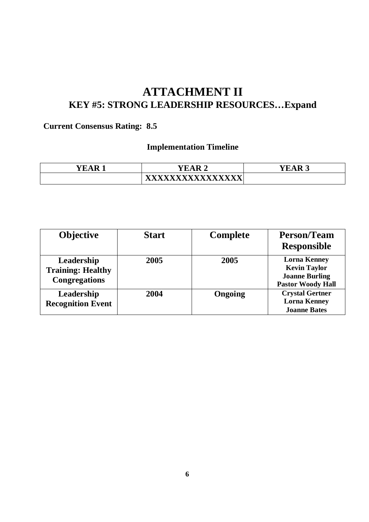### **ATTACHMENT II KEY #5: STRONG LEADERSHIP RESOURCES…Expand**

### **Current Consensus Rating: 8.5**

| $\overline{\mathbf{v}}$ $\overline{\mathbf{v}}$<br>R<br>$\mathbf{\Lambda}$ | $\overline{\mathbf{v}}$ $\overline{\mathbf{v}}$ $\mathbf{v}$ $\mathbf{v}$<br>$\sqrt{R}$ 2<br>Д<br>- | <b>YEAR</b><br>↗<br>ILAN<br>. ພ |
|----------------------------------------------------------------------------|-----------------------------------------------------------------------------------------------------|---------------------------------|
|                                                                            | ********************************                                                                    |                                 |

| <b>Objective</b>                                               | <b>Start</b> | <b>Complete</b> | <b>Person/Team</b><br><b>Responsible</b>                                                        |
|----------------------------------------------------------------|--------------|-----------------|-------------------------------------------------------------------------------------------------|
| Leadership<br><b>Training: Healthy</b><br><b>Congregations</b> | 2005         | 2005            | <b>Lorna Kenney</b><br><b>Kevin Taylor</b><br><b>Joanne Burling</b><br><b>Pastor Woody Hall</b> |
| Leadership<br><b>Recognition Event</b>                         | 2004         | Ongoing         | <b>Crystal Gertner</b><br><b>Lorna Kenney</b><br><b>Joanne Bates</b>                            |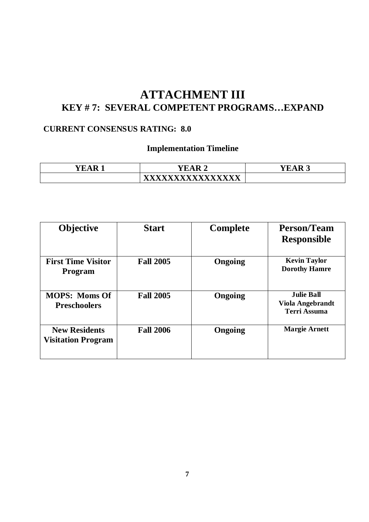### **ATTACHMENT III KEY # 7: SEVERAL COMPETENT PROGRAMS…EXPAND**

#### **CURRENT CONSENSUS RATING: 8.0**

| ---<br>к | <b></b><br>A<br>R<br>$\sim$ | ---<br>$\sim$ |  |
|----------|-----------------------------|---------------|--|
|          | <b>****</b><br>$\sqrt{2}$   |               |  |

| <b>Objective</b>                                  | <b>Start</b>     | <b>Complete</b> | <b>Person/Team</b><br><b>Responsible</b>                            |
|---------------------------------------------------|------------------|-----------------|---------------------------------------------------------------------|
| <b>First Time Visitor</b><br><b>Program</b>       | <b>Fall 2005</b> | Ongoing         | <b>Kevin Taylor</b><br><b>Dorothy Hamre</b>                         |
| <b>MOPS: Moms Of</b><br><b>Preschoolers</b>       | <b>Fall 2005</b> | Ongoing         | <b>Julie Ball</b><br><b>Viola Angebrandt</b><br><b>Terri Assuma</b> |
| <b>New Residents</b><br><b>Visitation Program</b> | <b>Fall 2006</b> | Ongoing         | <b>Margie Arnett</b>                                                |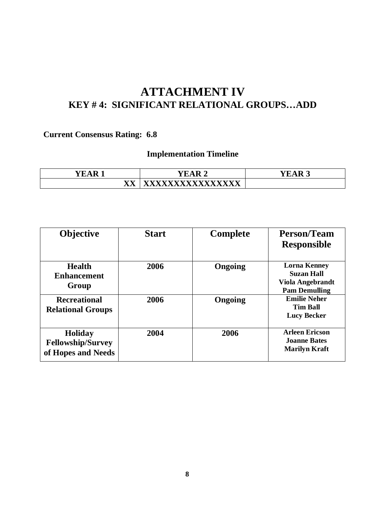# **ATTACHMENT IV KEY # 4: SIGNIFICANT RELATIONAL GROUPS…ADD**

### **Current Consensus Rating: 6.8**

| - 11<br>н<br>$\sqrt{2}$                                        | $\sim$          | $\overline{\phantom{a}}$<br>. H<br>$\mathbf{M}$ |
|----------------------------------------------------------------|-----------------|-------------------------------------------------|
| $\overline{\mathbf{x}}$<br>$\mathbf{\Lambda} \mathbf{\Lambda}$ | <b>VVVVVVVV</b> |                                                 |

| <b>Objective</b>                                                 | <b>Start</b> | <b>Complete</b> | <b>Person/Team</b><br><b>Responsible</b>                                                    |
|------------------------------------------------------------------|--------------|-----------------|---------------------------------------------------------------------------------------------|
| <b>Health</b><br><b>Enhancement</b><br>Group                     | 2006         | Ongoing         | <b>Lorna Kenney</b><br><b>Suzan Hall</b><br><b>Viola Angebrandt</b><br><b>Pam Demulling</b> |
| <b>Recreational</b><br><b>Relational Groups</b>                  | 2006         | Ongoing         | <b>Emilie Neher</b><br><b>Tim Ball</b><br><b>Lucy Becker</b>                                |
| <b>Holiday</b><br><b>Fellowship/Survey</b><br>of Hopes and Needs | 2004         | 2006            | <b>Arleen Ericson</b><br><b>Joanne Bates</b><br><b>Marilyn Kraft</b>                        |